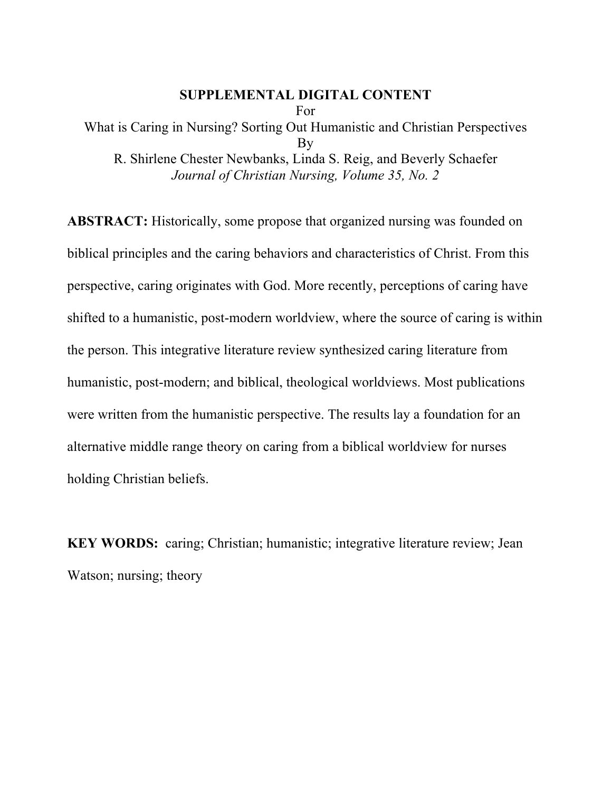## **SUPPLEMENTAL DIGITAL CONTENT**

For

What is Caring in Nursing? Sorting Out Humanistic and Christian Perspectives By R. Shirlene Chester Newbanks, Linda S. Reig, and Beverly Schaefer *Journal of Christian Nursing, Volume 35, No. 2*

**ABSTRACT:** Historically, some propose that organized nursing was founded on biblical principles and the caring behaviors and characteristics of Christ. From this perspective, caring originates with God. More recently, perceptions of caring have shifted to a humanistic, post-modern worldview, where the source of caring is within the person. This integrative literature review synthesized caring literature from humanistic, post-modern; and biblical, theological worldviews. Most publications were written from the humanistic perspective. The results lay a foundation for an alternative middle range theory on caring from a biblical worldview for nurses holding Christian beliefs.

**KEY WORDS:** caring; Christian; humanistic; integrative literature review; Jean Watson; nursing; theory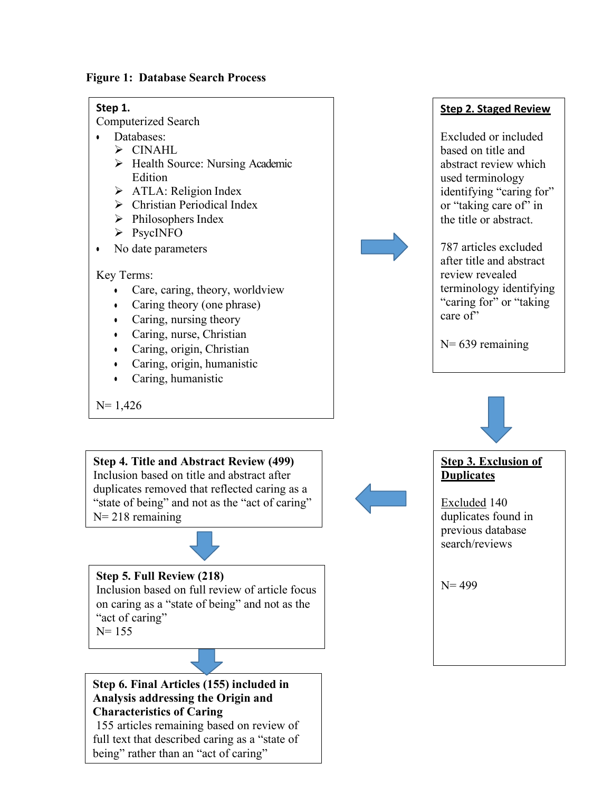**Figure 1: Database Search Process**

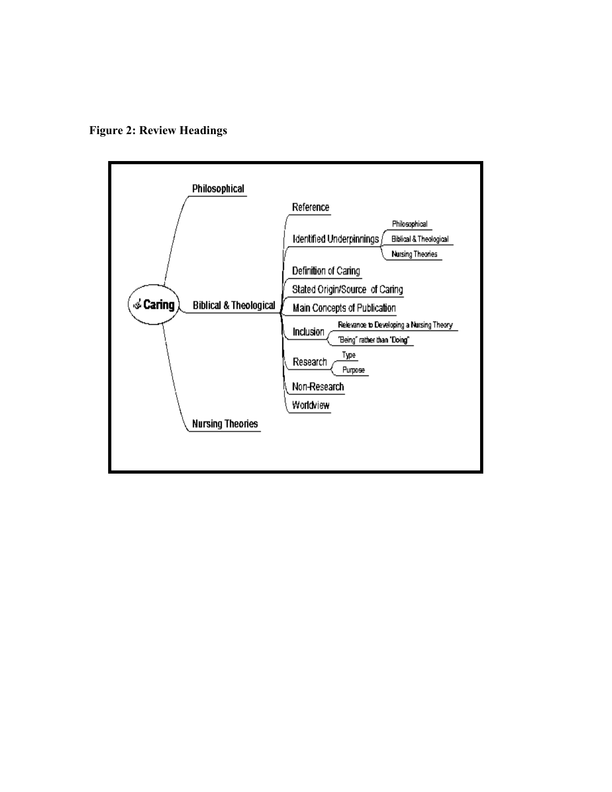**Figure 2: Review Headings**

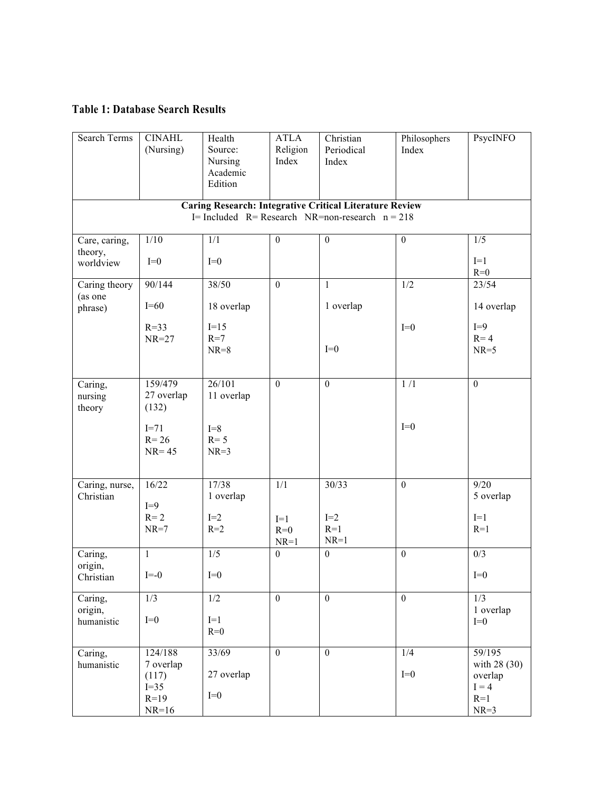## **Table 1: Database Search Results**

| <b>Search Terms</b>                                            | <b>CINAHL</b><br>(Nursing)      | Health<br>Source:<br>Nursing<br>Academic<br>Edition | <b>ATLA</b><br>Religion<br>Index | Christian<br>Periodical<br>Index | Philosophers<br>Index | PsycINFO                           |
|----------------------------------------------------------------|---------------------------------|-----------------------------------------------------|----------------------------------|----------------------------------|-----------------------|------------------------------------|
| <b>Caring Research: Integrative Critical Literature Review</b> |                                 |                                                     |                                  |                                  |                       |                                    |
| I= Included $R$ = Research NR=non-research $n = 218$           |                                 |                                                     |                                  |                                  |                       |                                    |
| Care, caring,                                                  | 1/10                            | 1/1                                                 | $\boldsymbol{0}$                 | $\boldsymbol{0}$                 | $\boldsymbol{0}$      | 1/5                                |
| theory,<br>worldview                                           | $I=0$                           | $I=0$                                               |                                  |                                  |                       | $I=1$<br>$R=0$                     |
| Caring theory                                                  | 90/144                          | 38/50                                               | $\overline{0}$                   | $\mathbf{1}$                     | 1/2                   | 23/54                              |
| (as one<br>phrase)                                             | $I=60$                          | 18 overlap                                          |                                  | 1 overlap                        |                       | 14 overlap                         |
|                                                                | $R=33$                          | $I=15$                                              |                                  |                                  | $I=0$                 | $I=9$                              |
|                                                                | $NR=27$                         | $R=7$<br>$NR=8$                                     |                                  | $I=0$                            |                       | $R = 4$<br>$NR=5$                  |
| Caring,<br>nursing<br>theory                                   | 159/479<br>27 overlap<br>(132)  | 26/101<br>11 overlap                                | $\overline{0}$                   | $\overline{0}$                   | $\overline{1/l}$      | $\overline{0}$                     |
|                                                                | $I=71$<br>$R = 26$<br>$NR = 45$ | $I=8$<br>$R = 5$<br>$NR=3$                          |                                  |                                  | $I=0$                 |                                    |
| Caring, nurse,<br>Christian                                    | 16/22<br>$I=9$                  | 17/38<br>1 overlap                                  | 1/1                              | 30/33                            | $\overline{0}$        | 9/20<br>5 overlap                  |
|                                                                | $R = 2$<br>$NR=7$               | $I=2$<br>$R=2$                                      | $I=1$<br>$R=0$<br>$NR=1$         | $I=2$<br>$R=1$<br>$NR=1$         |                       | $I=1$<br>$R=1$                     |
| Caring,                                                        | $\mathbf{1}$                    | 1/5                                                 | $\boldsymbol{0}$                 | $\boldsymbol{0}$                 | $\boldsymbol{0}$      | 0/3                                |
| origin,<br>Christian                                           | $I=-0$                          | $I=0$                                               |                                  |                                  |                       | $I=0$                              |
| Caring,<br>origin,                                             | 1/3                             | 1/2                                                 | $\overline{0}$                   | $\mathbf{0}$                     | $\overline{0}$        | 1/3<br>1 overlap                   |
| humanistic                                                     | $I=0$                           | $I=1$<br>$R=0$                                      |                                  |                                  |                       | $I=0$                              |
| Caring,                                                        | 124/188                         | 33/69                                               | $\overline{0}$                   | $\overline{0}$                   | 1/4                   | 59/195                             |
| humanistic                                                     | 7 overlap<br>(117)<br>$I=35$    | 27 overlap                                          |                                  |                                  | $I=0$                 | with 28 (30)<br>overlap<br>$I = 4$ |
|                                                                | $R = 19$<br>$NR=16$             | $I=0$                                               |                                  |                                  |                       | $R=1$<br>$NR=3$                    |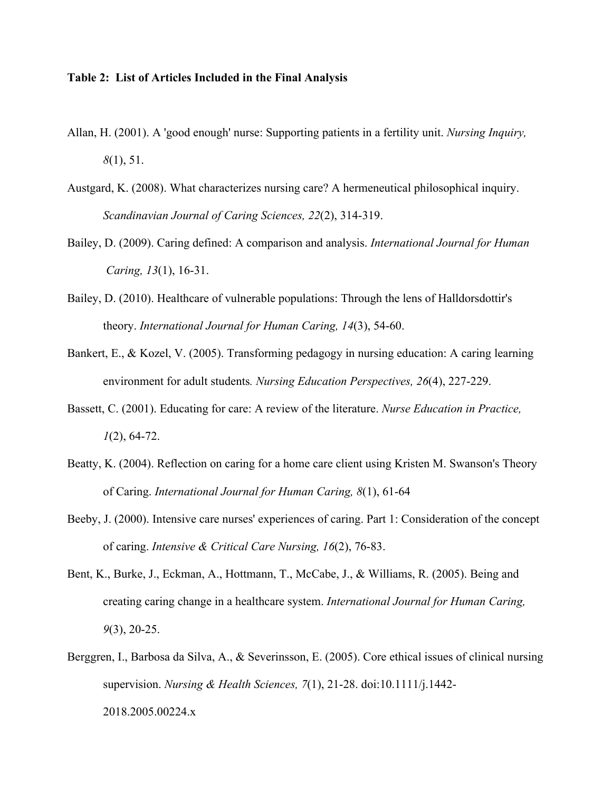## **Table 2: List of Articles Included in the Final Analysis**

- Allan, H. (2001). A 'good enough' nurse: Supporting patients in a fertility unit. *Nursing Inquiry, 8*(1), 51.
- Austgard, K. (2008). What characterizes nursing care? A hermeneutical philosophical inquiry. *Scandinavian Journal of Caring Sciences, 22*(2), 314-319.
- Bailey, D. (2009). Caring defined: A comparison and analysis. *International Journal for Human Caring, 13*(1), 16-31.
- Bailey, D. (2010). Healthcare of vulnerable populations: Through the lens of Halldorsdottir's theory. *International Journal for Human Caring, 14*(3), 54-60.
- Bankert, E., & Kozel, V. (2005). Transforming pedagogy in nursing education: A caring learning environment for adult students*. Nursing Education Perspectives, 26*(4), 227-229.
- Bassett, C. (2001). Educating for care: A review of the literature. *Nurse Education in Practice, 1*(2), 64-72.
- Beatty, K. (2004). Reflection on caring for a home care client using Kristen M. Swanson's Theory of Caring. *International Journal for Human Caring, 8*(1), 61-64
- Beeby, J. (2000). Intensive care nurses' experiences of caring. Part 1: Consideration of the concept of caring. *Intensive & Critical Care Nursing, 16*(2), 76-83.
- Bent, K., Burke, J., Eckman, A., Hottmann, T., McCabe, J., & Williams, R. (2005). Being and creating caring change in a healthcare system. *International Journal for Human Caring, 9*(3), 20-25.
- Berggren, I., Barbosa da Silva, A., & Severinsson, E. (2005). Core ethical issues of clinical nursing supervision. *Nursing & Health Sciences, 7*(1), 21-28. doi:10.1111/j.1442- 2018.2005.00224.x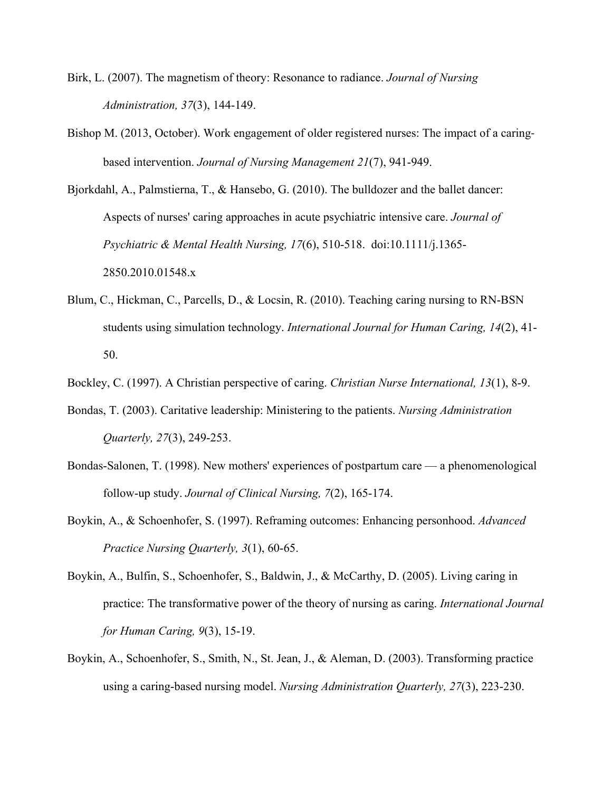- Birk, L. (2007). The magnetism of theory: Resonance to radiance. *Journal of Nursing Administration, 37*(3), 144-149.
- Bishop M. (2013, October). Work engagement of older registered nurses: The impact of a caringbased intervention. *Journal of Nursing Management 21*(7), 941-949.

Bjorkdahl, A., Palmstierna, T., & Hansebo, G. (2010). The bulldozer and the ballet dancer: Aspects of nurses' caring approaches in acute psychiatric intensive care. *Journal of Psychiatric & Mental Health Nursing, 17*(6), 510-518. doi:10.1111/j.1365- 2850.2010.01548.x

Blum, C., Hickman, C., Parcells, D., & Locsin, R. (2010). Teaching caring nursing to RN-BSN students using simulation technology. *International Journal for Human Caring, 14*(2), 41- 50.

Bockley, C. (1997). A Christian perspective of caring. *Christian Nurse International, 13*(1), 8-9.

- Bondas, T. (2003). Caritative leadership: Ministering to the patients. *Nursing Administration Quarterly, 27*(3), 249-253.
- Bondas-Salonen, T. (1998). New mothers' experiences of postpartum care a phenomenological follow-up study. *Journal of Clinical Nursing, 7*(2), 165-174.
- Boykin, A., & Schoenhofer, S. (1997). Reframing outcomes: Enhancing personhood. *Advanced Practice Nursing Quarterly, 3*(1), 60-65.
- Boykin, A., Bulfin, S., Schoenhofer, S., Baldwin, J., & McCarthy, D. (2005). Living caring in practice: The transformative power of the theory of nursing as caring. *International Journal for Human Caring, 9*(3), 15-19.
- Boykin, A., Schoenhofer, S., Smith, N., St. Jean, J., & Aleman, D. (2003). Transforming practice using a caring-based nursing model. *Nursing Administration Quarterly, 27*(3), 223-230.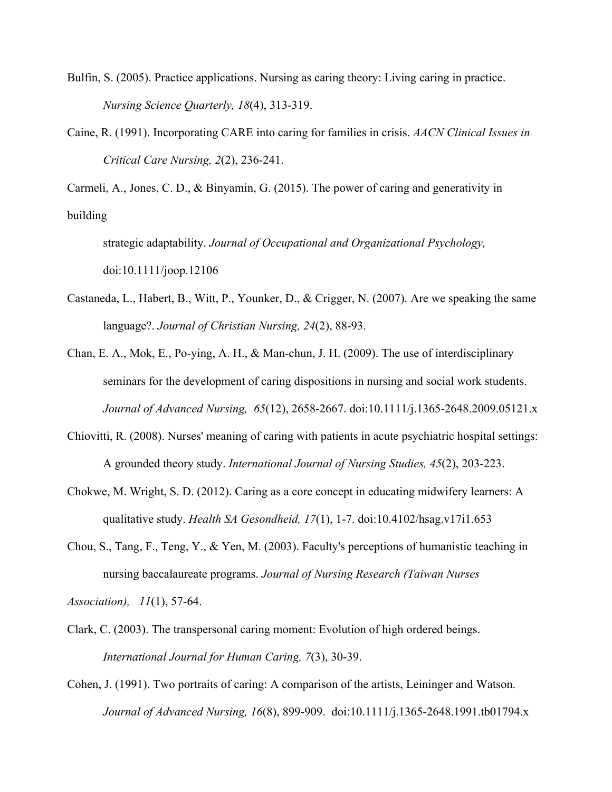- Bulfin, S. (2005). Practice applications. Nursing as caring theory: Living caring in practice. *Nursing Science Quarterly, 18*(4), 313-319.
- Caine, R. (1991). Incorporating CARE into caring for families in crisis. *AACN Clinical Issues in Critical Care Nursing, 2*(2), 236-241.

Carmeli, A., Jones, C. D., & Binyamin, G. (2015). The power of caring and generativity in building

strategic adaptability. *Journal of Occupational and Organizational Psychology,* doi:10.1111/joop.12106

Castaneda, L., Habert, B., Witt, P., Younker, D., & Crigger, N. (2007). Are we speaking the same language?. *Journal of Christian Nursing, 24*(2), 88-93.

Chan, E. A., Mok, E., Po-ying, A. H., & Man-chun, J. H. (2009). The use of interdisciplinary seminars for the development of caring dispositions in nursing and social work students. *Journal of Advanced Nursing, 65*(12), 2658-2667. doi:10.1111/j.1365-2648.2009.05121.x

- Chiovitti, R. (2008). Nurses' meaning of caring with patients in acute psychiatric hospital settings: A grounded theory study. *International Journal of Nursing Studies, 45*(2), 203-223.
- Chokwe, M. Wright, S. D. (2012). Caring as a core concept in educating midwifery learners: A qualitative study. *Health SA Gesondheid, 17*(1), 1-7. doi:10.4102/hsag.v17i1.653
- Chou, S., Tang, F., Teng, Y., & Yen, M. (2003). Faculty's perceptions of humanistic teaching in nursing baccalaureate programs. *Journal of Nursing Research (Taiwan Nurses*

*Association), 11*(1), 57-64.

- Clark, C. (2003). The transpersonal caring moment: Evolution of high ordered beings. *International Journal for Human Caring, 7*(3), 30-39.
- Cohen, J. (1991). Two portraits of caring: A comparison of the artists, Leininger and Watson. *Journal of Advanced Nursing, 16*(8), 899-909. doi:10.1111/j.1365-2648.1991.tb01794.x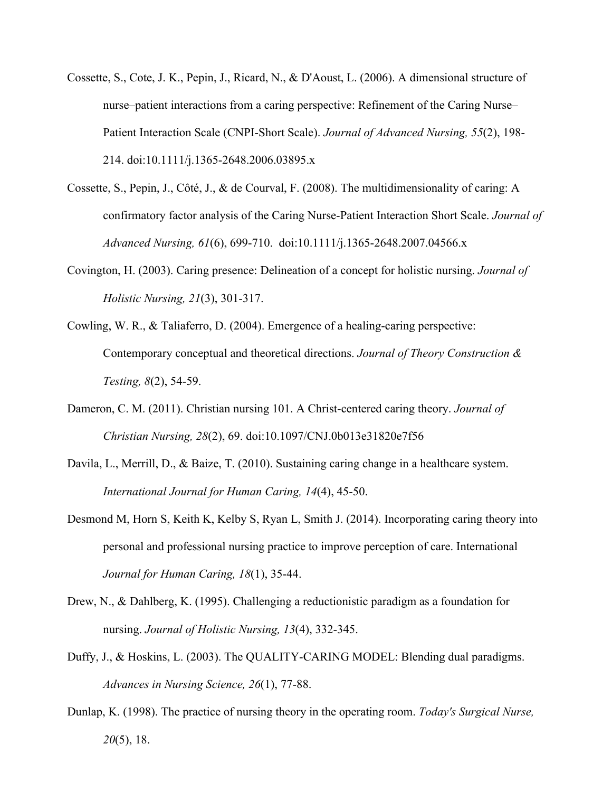- Cossette, S., Cote, J. K., Pepin, J., Ricard, N., & D'Aoust, L. (2006). A dimensional structure of nurse–patient interactions from a caring perspective: Refinement of the Caring Nurse– Patient Interaction Scale (CNPI-Short Scale). *Journal of Advanced Nursing, 55*(2), 198- 214. doi:10.1111/j.1365-2648.2006.03895.x
- Cossette, S., Pepin, J., Côté, J., & de Courval, F. (2008). The multidimensionality of caring: A confirmatory factor analysis of the Caring Nurse-Patient Interaction Short Scale. *Journal of Advanced Nursing, 61*(6), 699-710. doi:10.1111/j.1365-2648.2007.04566.x
- Covington, H. (2003). Caring presence: Delineation of a concept for holistic nursing. *Journal of Holistic Nursing, 21*(3), 301-317.
- Cowling, W. R., & Taliaferro, D. (2004). Emergence of a healing-caring perspective: Contemporary conceptual and theoretical directions. *Journal of Theory Construction & Testing, 8*(2), 54-59.
- Dameron, C. M. (2011). Christian nursing 101. A Christ-centered caring theory. *Journal of Christian Nursing, 28*(2), 69. doi:10.1097/CNJ.0b013e31820e7f56
- Davila, L., Merrill, D., & Baize, T. (2010). Sustaining caring change in a healthcare system. *International Journal for Human Caring, 14*(4), 45-50.
- Desmond M, Horn S, Keith K, Kelby S, Ryan L, Smith J. (2014). Incorporating caring theory into personal and professional nursing practice to improve perception of care. International *Journal for Human Caring, 18*(1), 35-44.
- Drew, N., & Dahlberg, K. (1995). Challenging a reductionistic paradigm as a foundation for nursing. *Journal of Holistic Nursing, 13*(4), 332-345.
- Duffy, J., & Hoskins, L. (2003). The QUALITY-CARING MODEL: Blending dual paradigms. *Advances in Nursing Science, 26*(1), 77-88.
- Dunlap, K. (1998). The practice of nursing theory in the operating room. *Today's Surgical Nurse, 20*(5), 18.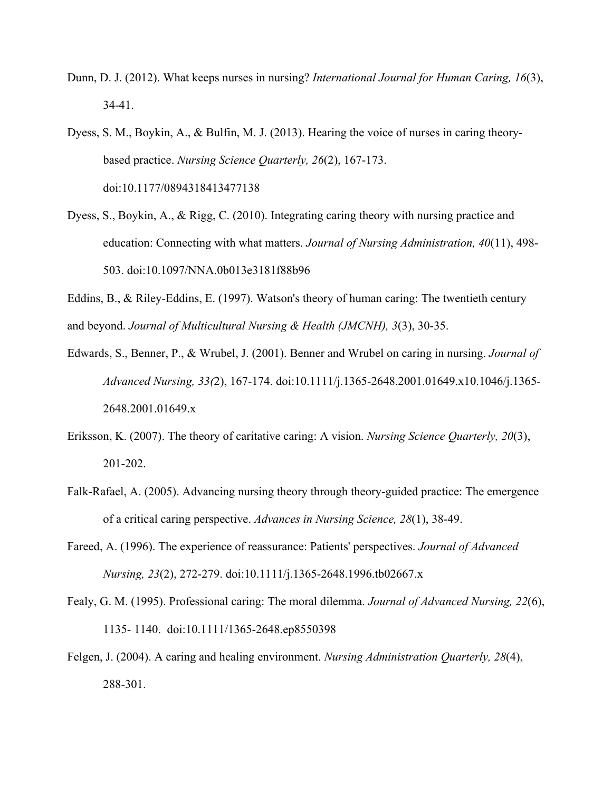- Dunn, D. J. (2012). What keeps nurses in nursing? *International Journal for Human Caring, 16*(3), 34-41.
- Dyess, S. M., Boykin, A., & Bulfin, M. J. (2013). Hearing the voice of nurses in caring theorybased practice. *Nursing Science Quarterly, 26*(2), 167-173. doi:10.1177/0894318413477138
- Dyess, S., Boykin, A., & Rigg, C. (2010). Integrating caring theory with nursing practice and education: Connecting with what matters. *Journal of Nursing Administration, 40*(11), 498- 503. doi:10.1097/NNA.0b013e3181f88b96

Eddins, B., & Riley-Eddins, E. (1997). Watson's theory of human caring: The twentieth century and beyond. *Journal of Multicultural Nursing & Health (JMCNH), 3*(3), 30-35.

- Edwards, S., Benner, P., & Wrubel, J. (2001). Benner and Wrubel on caring in nursing. *Journal of Advanced Nursing, 33(*2), 167-174. doi:10.1111/j.1365-2648.2001.01649.x10.1046/j.1365- 2648.2001.01649.x
- Eriksson, K. (2007). The theory of caritative caring: A vision. *Nursing Science Quarterly, 20*(3), 201-202.
- Falk-Rafael, A. (2005). Advancing nursing theory through theory-guided practice: The emergence of a critical caring perspective. *Advances in Nursing Science, 28*(1), 38-49.
- Fareed, A. (1996). The experience of reassurance: Patients' perspectives. *Journal of Advanced Nursing, 23*(2), 272-279. doi:10.1111/j.1365-2648.1996.tb02667.x
- Fealy, G. M. (1995). Professional caring: The moral dilemma. *Journal of Advanced Nursing, 22*(6), 1135- 1140. doi:10.1111/1365-2648.ep8550398
- Felgen, J. (2004). A caring and healing environment. *Nursing Administration Quarterly, 28*(4), 288-301.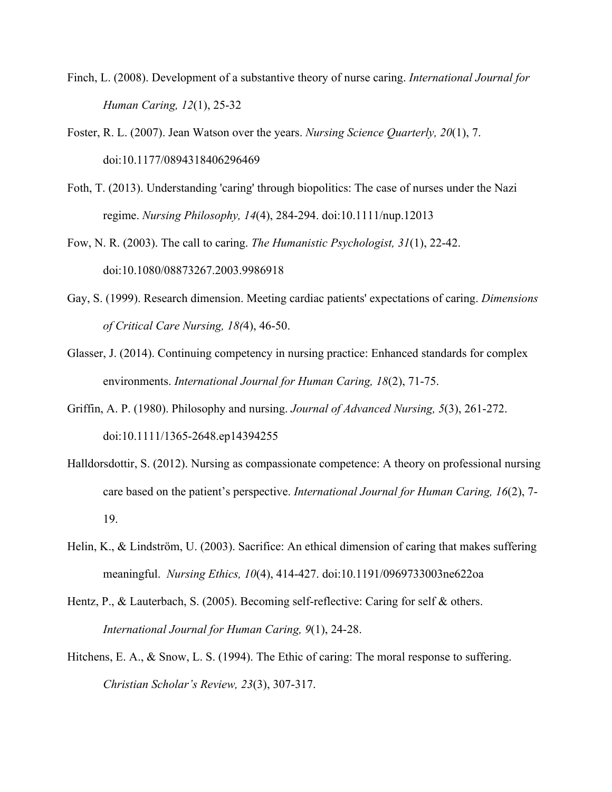- Finch, L. (2008). Development of a substantive theory of nurse caring. *International Journal for Human Caring, 12*(1), 25-32
- Foster, R. L. (2007). Jean Watson over the years. *Nursing Science Quarterly, 20*(1), 7. doi:10.1177/0894318406296469
- Foth, T. (2013). Understanding 'caring' through biopolitics: The case of nurses under the Nazi regime. *Nursing Philosophy, 14*(4), 284-294. doi:10.1111/nup.12013
- Fow, N. R. (2003). The call to caring. *The Humanistic Psychologist, 31*(1), 22-42. doi:10.1080/08873267.2003.9986918
- Gay, S. (1999). Research dimension. Meeting cardiac patients' expectations of caring. *Dimensions of Critical Care Nursing, 18(*4), 46-50.
- Glasser, J. (2014). Continuing competency in nursing practice: Enhanced standards for complex environments. *International Journal for Human Caring, 18*(2), 71-75.
- Griffin, A. P. (1980). Philosophy and nursing. *Journal of Advanced Nursing, 5*(3), 261-272. doi:10.1111/1365-2648.ep14394255
- Halldorsdottir, S. (2012). Nursing as compassionate competence: A theory on professional nursing care based on the patient's perspective. *International Journal for Human Caring, 16*(2), 7- 19.
- Helin, K., & Lindström, U. (2003). Sacrifice: An ethical dimension of caring that makes suffering meaningful. *Nursing Ethics, 10*(4), 414-427. doi:10.1191/0969733003ne622oa
- Hentz, P., & Lauterbach, S. (2005). Becoming self-reflective: Caring for self & others. *International Journal for Human Caring, 9*(1), 24-28.
- Hitchens, E. A., & Snow, L. S. (1994). The Ethic of caring: The moral response to suffering. *Christian Scholar's Review, 23*(3), 307-317.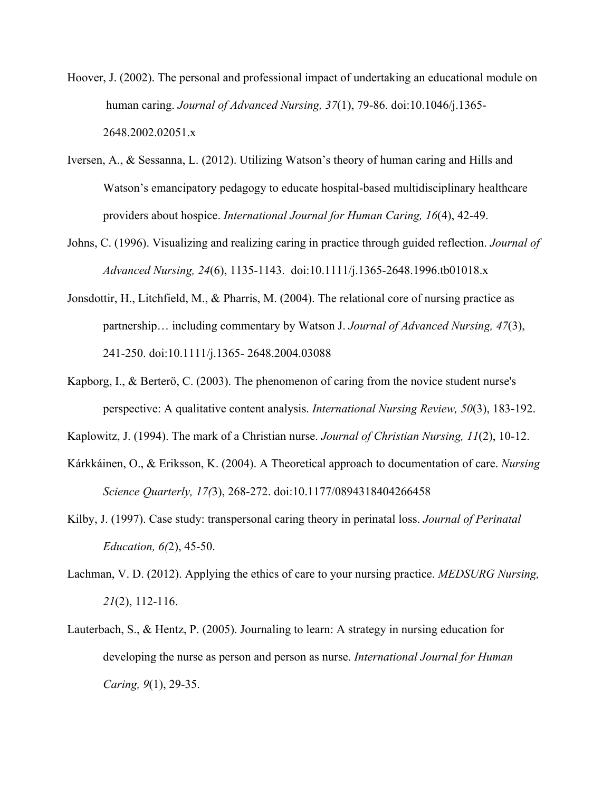- Hoover, J. (2002). The personal and professional impact of undertaking an educational module on human caring. *Journal of Advanced Nursing, 37*(1), 79-86. doi:10.1046/j.1365- 2648.2002.02051.x
- Iversen, A., & Sessanna, L. (2012). Utilizing Watson's theory of human caring and Hills and Watson's emancipatory pedagogy to educate hospital-based multidisciplinary healthcare providers about hospice. *International Journal for Human Caring, 16*(4), 42-49.
- Johns, C. (1996). Visualizing and realizing caring in practice through guided reflection. *Journal of Advanced Nursing, 24*(6), 1135-1143. doi:10.1111/j.1365-2648.1996.tb01018.x
- Jonsdottir, H., Litchfield, M., & Pharris, M. (2004). The relational core of nursing practice as partnership… including commentary by Watson J. *Journal of Advanced Nursing, 47*(3), 241-250. doi:10.1111/j.1365- 2648.2004.03088
- Kapborg, I., & Berterö, C. (2003). The phenomenon of caring from the novice student nurse's perspective: A qualitative content analysis. *International Nursing Review, 50*(3), 183-192.
- Kaplowitz, J. (1994). The mark of a Christian nurse. *Journal of Christian Nursing, 11*(2), 10-12.
- Kárkkáinen, O., & Eriksson, K. (2004). A Theoretical approach to documentation of care. *Nursing Science Quarterly, 17(*3), 268-272. doi:10.1177/0894318404266458
- Kilby, J. (1997). Case study: transpersonal caring theory in perinatal loss. *Journal of Perinatal Education, 6(*2), 45-50.
- Lachman, V. D. (2012). Applying the ethics of care to your nursing practice. *MEDSURG Nursing, 21*(2), 112-116.
- Lauterbach, S., & Hentz, P. (2005). Journaling to learn: A strategy in nursing education for developing the nurse as person and person as nurse. *International Journal for Human Caring, 9*(1), 29-35.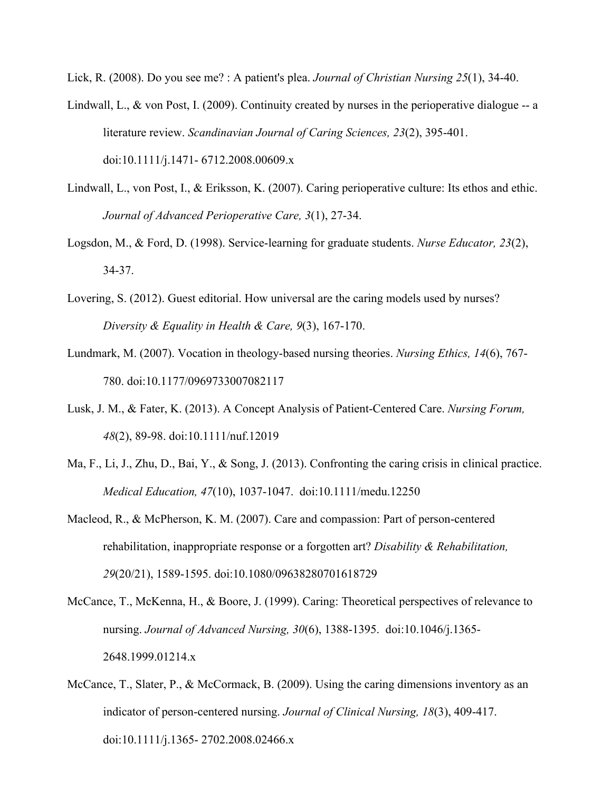Lick, R. (2008). Do you see me? : A patient's plea. *Journal of Christian Nursing 25*(1), 34-40.

- Lindwall, L., & von Post, I. (2009). Continuity created by nurses in the perioperative dialogue -- a literature review. *Scandinavian Journal of Caring Sciences, 23*(2), 395-401. doi:10.1111/j.1471- 6712.2008.00609.x
- Lindwall, L., von Post, I., & Eriksson, K. (2007). Caring perioperative culture: Its ethos and ethic. *Journal of Advanced Perioperative Care, 3*(1), 27-34.
- Logsdon, M., & Ford, D. (1998). Service-learning for graduate students. *Nurse Educator, 23*(2), 34-37.
- Lovering, S. (2012). Guest editorial. How universal are the caring models used by nurses? *Diversity & Equality in Health & Care, 9*(3), 167-170.
- Lundmark, M. (2007). Vocation in theology-based nursing theories. *Nursing Ethics, 14*(6), 767- 780. doi:10.1177/0969733007082117
- Lusk, J. M., & Fater, K. (2013). A Concept Analysis of Patient-Centered Care. *Nursing Forum, 48*(2), 89-98. doi:10.1111/nuf.12019
- Ma, F., Li, J., Zhu, D., Bai, Y., & Song, J. (2013). Confronting the caring crisis in clinical practice. *Medical Education, 47*(10), 1037-1047. doi:10.1111/medu.12250
- Macleod, R., & McPherson, K. M. (2007). Care and compassion: Part of person-centered rehabilitation, inappropriate response or a forgotten art? *Disability & Rehabilitation, 29*(20/21), 1589-1595. doi:10.1080/09638280701618729
- McCance, T., McKenna, H., & Boore, J. (1999). Caring: Theoretical perspectives of relevance to nursing. *Journal of Advanced Nursing, 30*(6), 1388-1395. doi:10.1046/j.1365- 2648.1999.01214.x
- McCance, T., Slater, P., & McCormack, B. (2009). Using the caring dimensions inventory as an indicator of person-centered nursing. *Journal of Clinical Nursing, 18*(3), 409-417. doi:10.1111/j.1365- 2702.2008.02466.x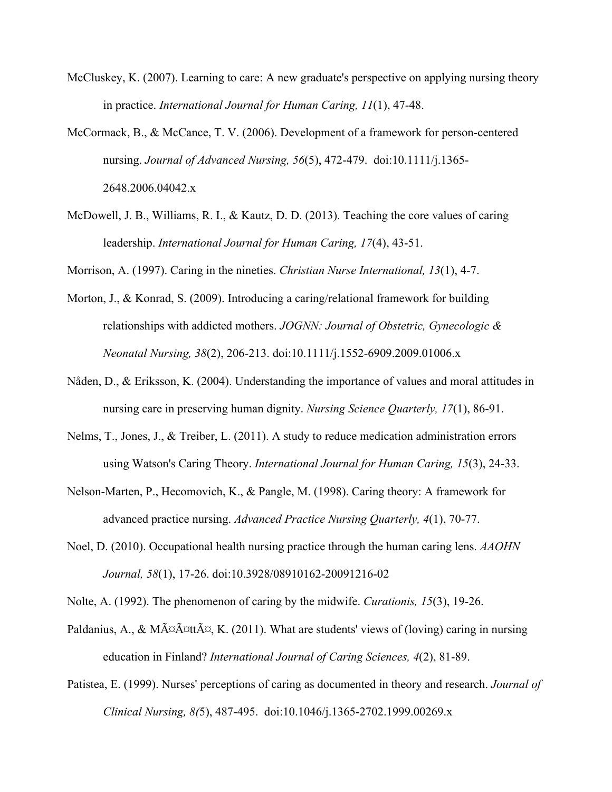- McCluskey, K. (2007). Learning to care: A new graduate's perspective on applying nursing theory in practice. *International Journal for Human Caring, 11*(1), 47-48.
- McCormack, B., & McCance, T. V. (2006). Development of a framework for person-centered nursing. *Journal of Advanced Nursing, 56*(5), 472-479. doi:10.1111/j.1365- 2648.2006.04042.x
- McDowell, J. B., Williams, R. I., & Kautz, D. D. (2013). Teaching the core values of caring leadership. *International Journal for Human Caring, 17*(4), 43-51.

Morrison, A. (1997). Caring in the nineties. *Christian Nurse International, 13*(1), 4-7.

- Morton, J., & Konrad, S. (2009). Introducing a caring/relational framework for building relationships with addicted mothers. *JOGNN: Journal of Obstetric, Gynecologic & Neonatal Nursing, 38*(2), 206-213. doi:10.1111/j.1552-6909.2009.01006.x
- Nåden, D., & Eriksson, K. (2004). Understanding the importance of values and moral attitudes in nursing care in preserving human dignity. *Nursing Science Quarterly, 17*(1), 86-91.
- Nelms, T., Jones, J., & Treiber, L. (2011). A study to reduce medication administration errors using Watson's Caring Theory. *International Journal for Human Caring, 15*(3), 24-33.
- Nelson-Marten, P., Hecomovich, K., & Pangle, M. (1998). Caring theory: A framework for advanced practice nursing. *Advanced Practice Nursing Quarterly, 4*(1), 70-77.
- Noel, D. (2010). Occupational health nursing practice through the human caring lens. *AAOHN Journal, 58*(1), 17-26. doi:10.3928/08910162-20091216-02

Nolte, A. (1992). The phenomenon of caring by the midwife. *Curationis, 15*(3), 19-26.

- Paldanius, A., & Määttä, K. (2011). What are students' views of (loving) caring in nursing education in Finland? *International Journal of Caring Sciences, 4*(2), 81-89.
- Patistea, E. (1999). Nurses' perceptions of caring as documented in theory and research. *Journal of Clinical Nursing, 8(*5), 487-495. doi:10.1046/j.1365-2702.1999.00269.x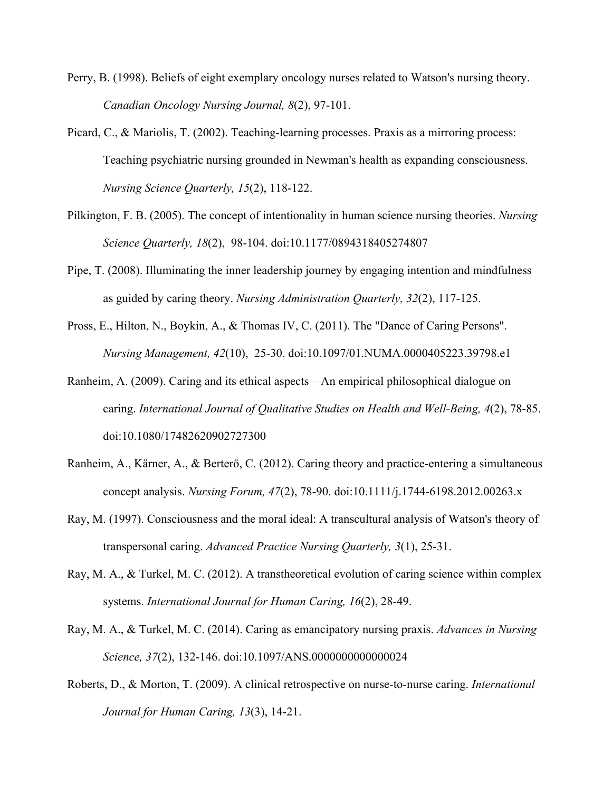- Perry, B. (1998). Beliefs of eight exemplary oncology nurses related to Watson's nursing theory. *Canadian Oncology Nursing Journal, 8*(2), 97-101.
- Picard, C., & Mariolis, T. (2002). Teaching-learning processes. Praxis as a mirroring process: Teaching psychiatric nursing grounded in Newman's health as expanding consciousness. *Nursing Science Quarterly, 15*(2), 118-122.
- Pilkington, F. B. (2005). The concept of intentionality in human science nursing theories. *Nursing Science Quarterly, 18*(2), 98-104. doi:10.1177/0894318405274807
- Pipe, T. (2008). Illuminating the inner leadership journey by engaging intention and mindfulness as guided by caring theory. *Nursing Administration Quarterly, 32*(2), 117-125.
- Pross, E., Hilton, N., Boykin, A., & Thomas IV, C. (2011). The "Dance of Caring Persons". *Nursing Management, 42*(10), 25-30. doi:10.1097/01.NUMA.0000405223.39798.e1
- Ranheim, A. (2009). Caring and its ethical aspects—An empirical philosophical dialogue on caring. *International Journal of Qualitative Studies on Health and Well-Being, 4*(2), 78-85. doi:10.1080/17482620902727300
- Ranheim, A., Kärner, A., & Berterö, C. (2012). Caring theory and practice-entering a simultaneous concept analysis. *Nursing Forum, 47*(2), 78-90. doi:10.1111/j.1744-6198.2012.00263.x
- Ray, M. (1997). Consciousness and the moral ideal: A transcultural analysis of Watson's theory of transpersonal caring. *Advanced Practice Nursing Quarterly, 3*(1), 25-31.
- Ray, M. A., & Turkel, M. C. (2012). A transtheoretical evolution of caring science within complex systems. *International Journal for Human Caring, 16*(2), 28-49.
- Ray, M. A., & Turkel, M. C. (2014). Caring as emancipatory nursing praxis. *Advances in Nursing Science, 37*(2), 132-146. doi:10.1097/ANS.0000000000000024
- Roberts, D., & Morton, T. (2009). A clinical retrospective on nurse-to-nurse caring. *International Journal for Human Caring, 13*(3), 14-21.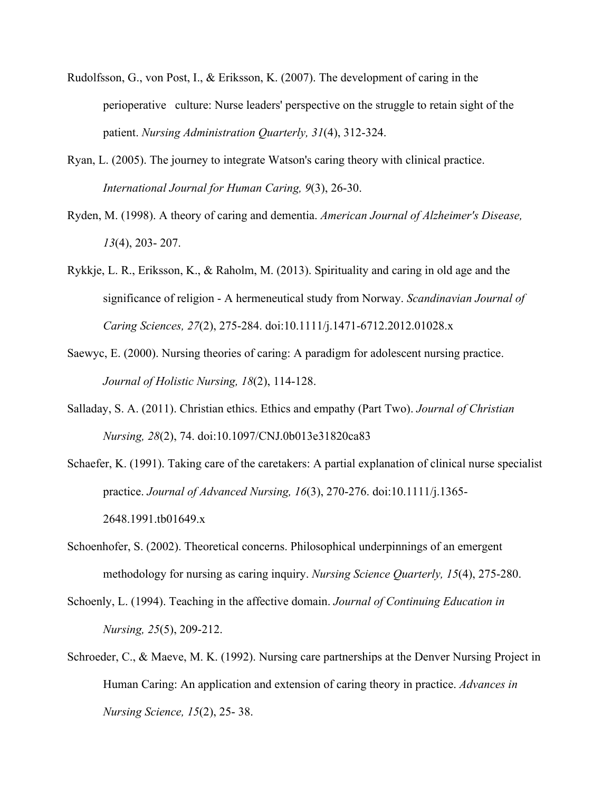- Rudolfsson, G., von Post, I., & Eriksson, K. (2007). The development of caring in the perioperative culture: Nurse leaders' perspective on the struggle to retain sight of the patient. *Nursing Administration Quarterly, 31*(4), 312-324.
- Ryan, L. (2005). The journey to integrate Watson's caring theory with clinical practice. *International Journal for Human Caring, 9*(3), 26-30.
- Ryden, M. (1998). A theory of caring and dementia. *American Journal of Alzheimer's Disease, 13*(4), 203- 207.
- Rykkje, L. R., Eriksson, K., & Raholm, M. (2013). Spirituality and caring in old age and the significance of religion - A hermeneutical study from Norway. *Scandinavian Journal of Caring Sciences, 27*(2), 275-284. doi:10.1111/j.1471-6712.2012.01028.x
- Saewyc, E. (2000). Nursing theories of caring: A paradigm for adolescent nursing practice. *Journal of Holistic Nursing, 18*(2), 114-128.
- Salladay, S. A. (2011). Christian ethics. Ethics and empathy (Part Two). *Journal of Christian Nursing, 28*(2), 74. doi:10.1097/CNJ.0b013e31820ca83
- Schaefer, K. (1991). Taking care of the caretakers: A partial explanation of clinical nurse specialist practice. *Journal of Advanced Nursing, 16*(3), 270-276. doi:10.1111/j.1365- 2648.1991.tb01649.x
- Schoenhofer, S. (2002). Theoretical concerns. Philosophical underpinnings of an emergent methodology for nursing as caring inquiry. *Nursing Science Quarterly, 15*(4), 275-280.
- Schoenly, L. (1994). Teaching in the affective domain. *Journal of Continuing Education in Nursing, 25*(5), 209-212.
- Schroeder, C., & Maeve, M. K. (1992). Nursing care partnerships at the Denver Nursing Project in Human Caring: An application and extension of caring theory in practice. *Advances in Nursing Science, 15*(2), 25- 38.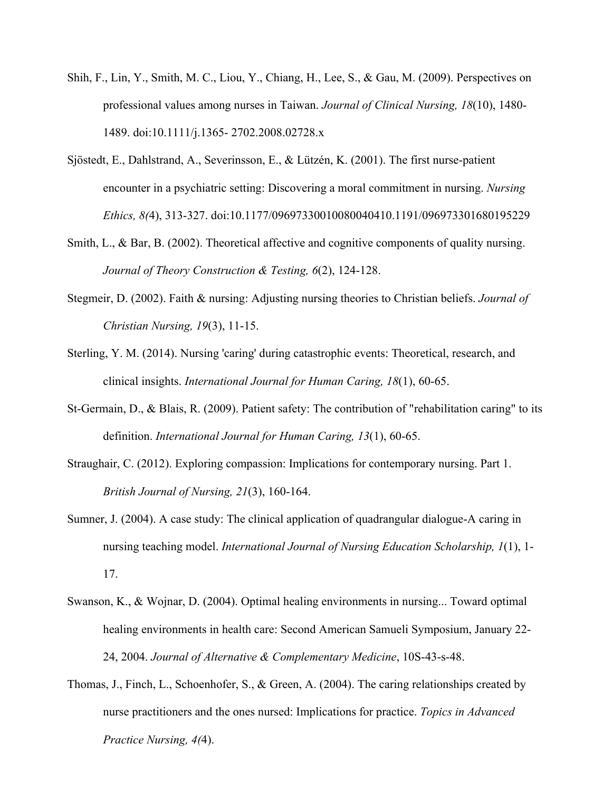- Shih, F., Lin, Y., Smith, M. C., Liou, Y., Chiang, H., Lee, S., & Gau, M. (2009). Perspectives on professional values among nurses in Taiwan. *Journal of Clinical Nursing, 18*(10), 1480- 1489. doi:10.1111/j.1365- 2702.2008.02728.x
- Sjöstedt, E., Dahlstrand, A., Severinsson, E., & Lützén, K. (2001). The first nurse-patient encounter in a psychiatric setting: Discovering a moral commitment in nursing. *Nursing Ethics, 8(*4), 313-327. doi:10.1177/09697330010080040410.1191/096973301680195229
- Smith, L., & Bar, B. (2002). Theoretical affective and cognitive components of quality nursing. *Journal of Theory Construction & Testing, 6*(2), 124-128.
- Stegmeir, D. (2002). Faith & nursing: Adjusting nursing theories to Christian beliefs. *Journal of Christian Nursing, 19*(3), 11-15.
- Sterling, Y. M. (2014). Nursing 'caring' during catastrophic events: Theoretical, research, and clinical insights. *International Journal for Human Caring, 18*(1), 60-65.
- St-Germain, D., & Blais, R. (2009). Patient safety: The contribution of "rehabilitation caring" to its definition. *International Journal for Human Caring, 13*(1), 60-65.
- Straughair, C. (2012). Exploring compassion: Implications for contemporary nursing. Part 1. *British Journal of Nursing, 21*(3), 160-164.
- Sumner, J. (2004). A case study: The clinical application of quadrangular dialogue-A caring in nursing teaching model. *International Journal of Nursing Education Scholarship, 1*(1), 1- 17.
- Swanson, K., & Wojnar, D. (2004). Optimal healing environments in nursing... Toward optimal healing environments in health care: Second American Samueli Symposium, January 22- 24, 2004. *Journal of Alternative & Complementary Medicine*, 10S-43-s-48.
- Thomas, J., Finch, L., Schoenhofer, S., & Green, A. (2004). The caring relationships created by nurse practitioners and the ones nursed: Implications for practice. *Topics in Advanced Practice Nursing, 4(*4).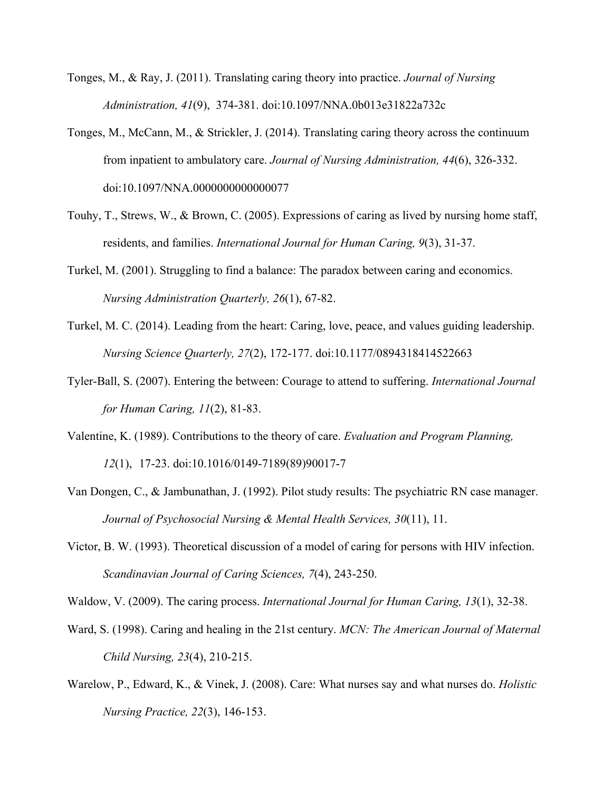- Tonges, M., & Ray, J. (2011). Translating caring theory into practice. *Journal of Nursing Administration, 41*(9), 374-381. doi:10.1097/NNA.0b013e31822a732c
- Tonges, M., McCann, M., & Strickler, J. (2014). Translating caring theory across the continuum from inpatient to ambulatory care. *Journal of Nursing Administration, 44*(6), 326-332. doi:10.1097/NNA.0000000000000077
- Touhy, T., Strews, W., & Brown, C. (2005). Expressions of caring as lived by nursing home staff, residents, and families. *International Journal for Human Caring, 9*(3), 31-37.
- Turkel, M. (2001). Struggling to find a balance: The paradox between caring and economics. *Nursing Administration Quarterly, 26*(1), 67-82.
- Turkel, M. C. (2014). Leading from the heart: Caring, love, peace, and values guiding leadership. *Nursing Science Quarterly, 27*(2), 172-177. doi:10.1177/0894318414522663
- Tyler-Ball, S. (2007). Entering the between: Courage to attend to suffering. *International Journal for Human Caring, 11*(2), 81-83.
- Valentine, K. (1989). Contributions to the theory of care. *Evaluation and Program Planning, 12*(1), 17-23. doi:10.1016/0149-7189(89)90017-7
- Van Dongen, C., & Jambunathan, J. (1992). Pilot study results: The psychiatric RN case manager. *Journal of Psychosocial Nursing & Mental Health Services, 30*(11), 11.
- Victor, B. W. (1993). Theoretical discussion of a model of caring for persons with HIV infection. *Scandinavian Journal of Caring Sciences, 7*(4), 243-250.

Waldow, V. (2009). The caring process. *International Journal for Human Caring, 13*(1), 32-38.

- Ward, S. (1998). Caring and healing in the 21st century. *MCN: The American Journal of Maternal Child Nursing, 23*(4), 210-215.
- Warelow, P., Edward, K., & Vinek, J. (2008). Care: What nurses say and what nurses do. *Holistic Nursing Practice, 22*(3), 146-153.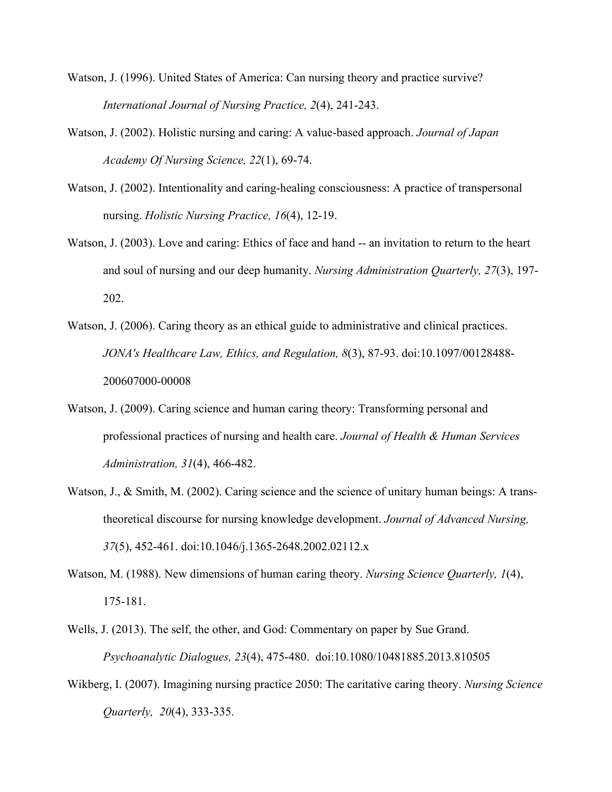- Watson, J. (1996). United States of America: Can nursing theory and practice survive? *International Journal of Nursing Practice, 2*(4), 241-243.
- Watson, J. (2002). Holistic nursing and caring: A value-based approach. *Journal of Japan Academy Of Nursing Science, 22*(1), 69-74.
- Watson, J. (2002). Intentionality and caring-healing consciousness: A practice of transpersonal nursing. *Holistic Nursing Practice, 16*(4), 12-19.
- Watson, J. (2003). Love and caring: Ethics of face and hand -- an invitation to return to the heart and soul of nursing and our deep humanity. *Nursing Administration Quarterly, 27*(3), 197- 202.
- Watson, J. (2006). Caring theory as an ethical guide to administrative and clinical practices. *JONA's Healthcare Law, Ethics, and Regulation, 8*(3), 87-93. doi:10.1097/00128488- 200607000-00008
- Watson, J. (2009). Caring science and human caring theory: Transforming personal and professional practices of nursing and health care. *Journal of Health & Human Services Administration, 31*(4), 466-482.
- Watson, J., & Smith, M. (2002). Caring science and the science of unitary human beings: A transtheoretical discourse for nursing knowledge development. *Journal of Advanced Nursing, 37*(5), 452-461. doi:10.1046/j.1365-2648.2002.02112.x
- Watson, M. (1988). New dimensions of human caring theory. *Nursing Science Quarterly, 1*(4), 175-181.
- Wells, J. (2013). The self, the other, and God: Commentary on paper by Sue Grand. *Psychoanalytic Dialogues, 23*(4), 475-480. doi:10.1080/10481885.2013.810505
- Wikberg, I. (2007). Imagining nursing practice 2050: The caritative caring theory. *Nursing Science Quarterly, 20*(4), 333-335.